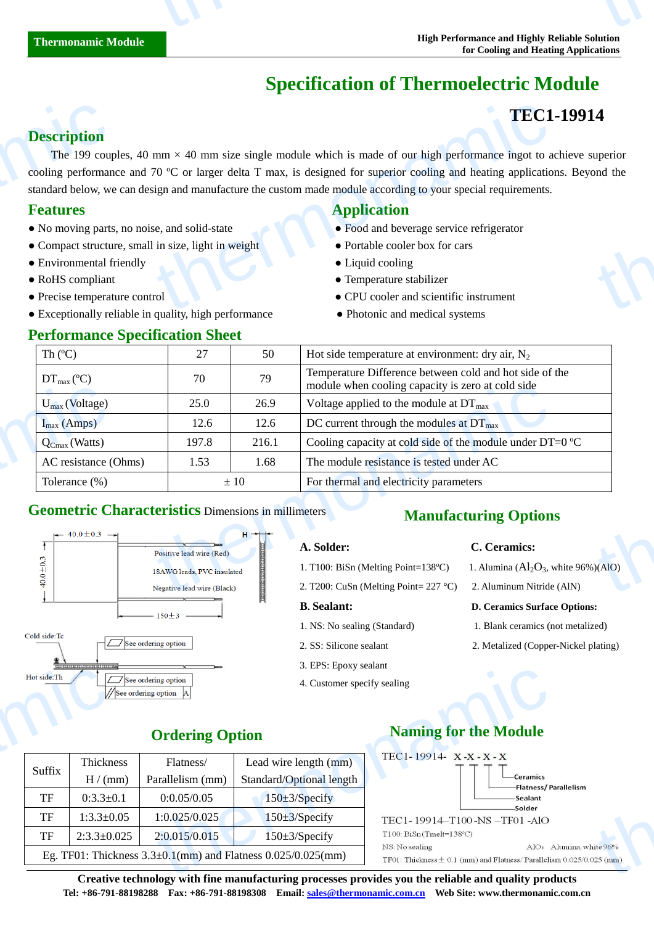# **Specification of Thermoelectric Module**

## **TEC1-19914**

## **Description**

The 199 couples, 40 mm  $\times$  40 mm size single module which is made of our high performance ingot to achieve superior cooling performance and 70  $\mathbb C$  or larger delta T max, is designed for superior cooling and heating applications. Beyond the standard below, we can design and manufacture the custom made module according to your special requirements. **Description**<br>The 199 coup<br>cooling performan<br>standard below, we<br>**Features**<br>• No moving parts<br>• Compact structu<br>• Environmental f<br>• RoHS compliant<br>• Precise temperat **TEC1**<br>
mm  $\times$  40 mm size single module which is made of our high performance ingot to a<br>
70 C or larger delta T max, is designed for superior cooling and heating application<br>
is and manufacture the custom made module ac **4**<br>uperior<br>md the

- No moving parts, no noise, and solid-state  **Food and beverage service refrigerator**
- Compact structure, small in size, light in weight **•** Portable cooler box for cars
- Environmental friendly Liquid cooling
- 
- 
- Exceptionally reliable in quality, high performance Photonic and medical systems

#### **Performance Specification Sheet**

### **Features Application**

- 
- 
- 
- RoHS compliant Temperature stabilizer
- Precise temperature control CPU cooler and scientific instrument
	-

| Th $(C)$                              | 27                                                         | 50                | Hot side temperature at environment: dry air, $N_2$                                                          |                                            |  |
|---------------------------------------|------------------------------------------------------------|-------------------|--------------------------------------------------------------------------------------------------------------|--------------------------------------------|--|
| $DT_{\text{max}}(\mathcal{C})$        | 70                                                         | 79                | Temperature Difference between cold and hot side of the<br>module when cooling capacity is zero at cold side |                                            |  |
| $U_{\text{max}}$ (Voltage)            | 25.0                                                       | 26.9              | Voltage applied to the module at $DT_{\text{max}}$                                                           |                                            |  |
| $I_{max}$ (Amps)                      | 12.6                                                       | 12.6              | DC current through the modules at $DT_{\text{max}}$                                                          |                                            |  |
| $Q_{Cmax}$ (Watts)                    | 197.8                                                      | 216.1             | Cooling capacity at cold side of the module under DT=0 $\mathbb{C}$                                          |                                            |  |
| AC resistance (Ohms)                  | 1.53                                                       | 1.68              | The module resistance is tested under AC                                                                     |                                            |  |
| Tolerance $(\%)$                      | $\pm 10$                                                   |                   | For thermal and electricity parameters                                                                       |                                            |  |
| $\leftarrow$ 40.0 ± 0.3 $\rightarrow$ | <b>Geometric Characteristics Dimensions in millimeters</b> | $H \rightarrow H$ | <b>Manufacturing Options</b><br>C. Ceramics:<br>A. Solder:                                                   |                                            |  |
|                                       | Positive lead wire (Red)<br>18AWG leads, PVC insulated     |                   | 1. T100: BiSn (Melting Point=138 $\mathbb{C}$ )                                                              | 1. Alumina $(Al_2O_3$ , white 96% $)(AIO)$ |  |
|                                       | Negative lead wire (Black)                                 |                   | 2. T200: CuSn (Melting Point= $227$ °C)<br>2. Aluminum Nitride (AlN)                                         |                                            |  |
|                                       |                                                            |                   |                                                                                                              |                                            |  |

## **Geometric Characteristics** Dimensions in millimeters **Manufacturing Options**



#### **A. Solder: C. Ceramics:**

- 1. T100: BiSn (Melting Point=138 °C) 1. Alumina ( $Al_2O_3$ , white 96%)(AlO) 2. T200: CuSn (Melting Point= 227 °C) 2. Aluminum Nitride (AlN)
- 

3. EPS: Epoxy sealant 4. Customer specify sealing

#### **B. Sealant: D. Ceramics Surface Options:**

- 1. NS: No sealing (Standard) 1. Blank ceramics (not metalized)
- 2. SS: Silicone sealant 2. Metalized (Copper-Nickel plating)

| Hot side: Th | ,,,,,,,,,,,,,,,,,,,,,,,,,,,,,,,,,, | $\boxed{\sqrt{ }}$ See ordering option<br>//See ordering option  A | J. Et D. Epoxy scalam<br>4. Customer specify sealing                   |                                                                                                                                                                                                                                       |  |
|--------------|------------------------------------|--------------------------------------------------------------------|------------------------------------------------------------------------|---------------------------------------------------------------------------------------------------------------------------------------------------------------------------------------------------------------------------------------|--|
|              | <b>Ordering Option</b>             |                                                                    |                                                                        | <b>Naming for the Module</b>                                                                                                                                                                                                          |  |
| Suffix       | Thickness<br>H/(mm)                | Flatness/<br>Parallelism (mm)                                      | Lead wire length (mm)<br>Standard/Optional length                      | $TEC1 - 19914$ $X - X - X - X$<br>-Ceramics                                                                                                                                                                                           |  |
| TF           | $0:3.3 \pm 0.1$                    | 0:0.05/0.05                                                        | $150 \pm 3$ /Specify                                                   | -Flatness/Pa<br><b>Sealant</b>                                                                                                                                                                                                        |  |
| TF           | $1:3.3 \pm 0.05$                   | 1:0.025/0.025                                                      | $150 \pm 3$ /Specify                                                   | -Solder<br>TEC1-19914-T100-NS-TF01-AlO                                                                                                                                                                                                |  |
| TF           | $2:3.3 \pm 0.025$                  | 2:0.015/0.015                                                      | $150 \pm 3$ /Specify                                                   | $T100$ : BiSn (Tmelt=138°C)                                                                                                                                                                                                           |  |
|              |                                    |                                                                    | Eg. TF01: Thickness $3.3 \pm 0.1$ (mm) and Flatness $0.025/0.025$ (mm) | AIO: A<br>NS: No sealing<br>TF01: Thickness $\pm$ 0.1 (mm) and Flatness/Parallelis                                                                                                                                                    |  |
|              |                                    |                                                                    |                                                                        | $\alpha$ and the state of the state $\alpha$ . The state of the second contribution of the contribution of the state of the state of the state of the state of the state of the state of the state of the state of the state of the s |  |



**Creative technology with fine manufacturing processes provides you the reliable and quality products Tel: +86-791-88198288 Fax: +86-791-88198308 Email: sales@thermonamic.com.cn Web Site: www.thermonamic.com.cn**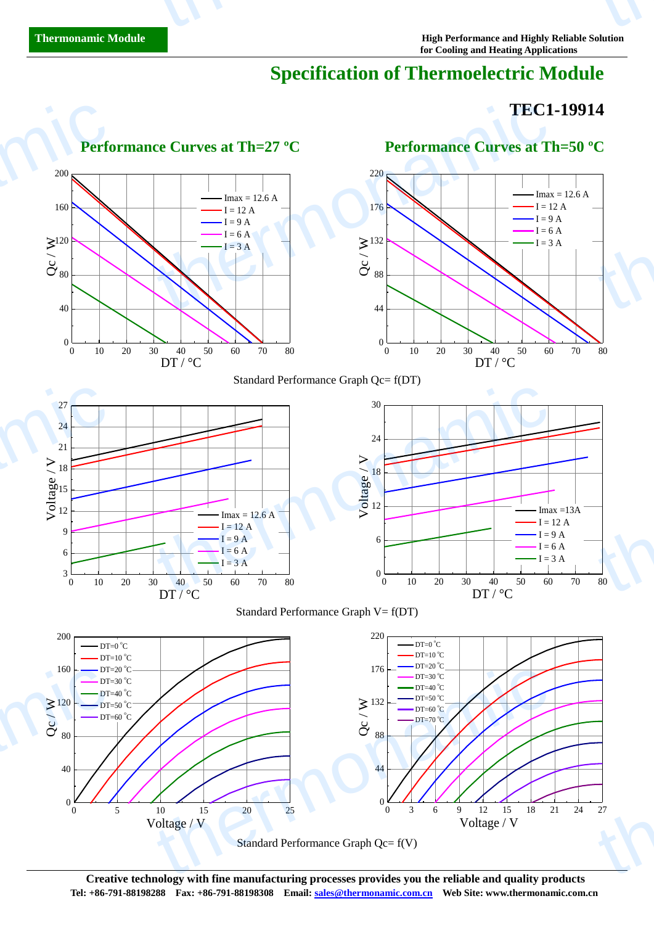thermonamic

# **Specification of Thermoelectric Module**

thermometer is the company of the company of the company of the company of the company of the company of the company of the company of the company of the company of the company of the company of the company of the company

## **TEC1-19914**



**Creative technology with fine manufacturing processes provides you the reliable and quality products Tel: +86-791-88198288 Fax: +86-791-88198308 Email: sales@thermonamic.com.cn Web Site: www.thermonamic.com.cn**